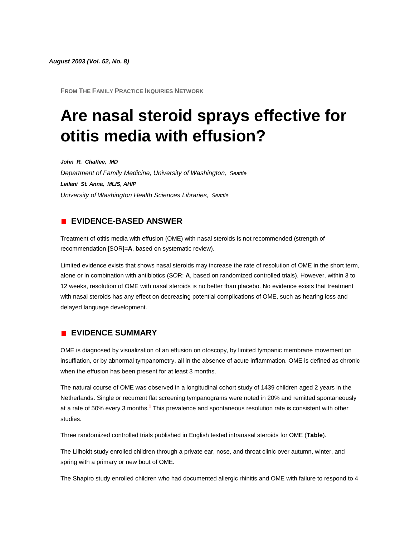*August 2003 (Vol. 52, No. 8)*

**FROM THE FAMILY PRACTICE INQUIRIES NETWORK**

# **Are nasal steroid sprays effective for otitis media with effusion?**

*John R. Chaffee, MD Department of Family Medicine, University of Washington, Seattle Leilani St. Anna, MLIS, AHIP University of Washington Health Sciences Libraries, Seattle*

# **EVIDENCE-BASED ANSWER**

Treatment of otitis media with effusion (OME) with nasal steroids is not recommended (strength of recommendation [SOR]=**A**, based on systematic review).

Limited evidence exists that shows nasal steroids may increase the rate of resolution of OME in the short term, alone or in combination with antibiotics (SOR: **A**, based on randomized controlled trials). However, within 3 to 12 weeks, resolution of OME with nasal steroids is no better than placebo. No evidence exists that treatment with nasal steroids has any effect on decreasing potential complications of OME, such as hearing loss and delayed language development.

## **EVIDENCE SUMMARY**

OME is diagnosed by visualization of an effusion on otoscopy, by limited tympanic membrane movement on insufflation, or by abnormal tympanometry, all in the absence of acute inflammation. OME is defined as chronic when the effusion has been present for at least 3 months.

The natural course of OME was observed in a longitudinal cohort study of 1439 children aged 2 years in the Netherlands. Single or recurrent flat screening tympanograms were noted in 20% and remitted spontaneously at a rate of 50% every 3 month[s.](http://www.jfponline.com/Pages.asp?AID=1974&issue=August_2003&UID=#bib1)**<sup>1</sup>** This prevalence and spontaneous resolution rate is consistent with other studies.

Three randomized controlled trials published in English tested intranasal steroids for OME (**[Table](http://www.jfponline.com/Pages.asp?AID=1974&issue=August_2003&UID=#5208JFP_ClinicalInquiries4-tab1)**).

The Lilholdt study enrolled children through a private ear, nose, and throat clinic over autumn, winter, and spring with a primary or new bout of OME.

The Shapiro study enrolled children who had documented allergic rhinitis and OME with failure to respond to 4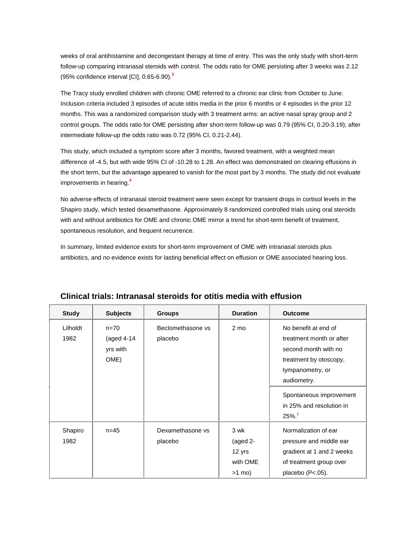weeks of oral antihistamine and decongestant therapy at time of entry. This was the only study with short-term follow-up comparing intranasal steroids with control. The odds ratio for OME persisting after 3 weeks was 2.12 (95% confidence interval [CI], 0.65-6.90[\).](http://www.jfponline.com/Pages.asp?AID=1974&issue=August_2003&UID=#bib3)**<sup>3</sup>**

The Tracy study enrolled children with chronic OME referred to a chronic ear clinic from October to June. Inclusion criteria included 3 episodes of acute otitis media in the prior 6 months or 4 episodes in the prior 12 months. This was a randomized comparison study with 3 treatment arms: an active nasal spray group and 2 control groups. The odds ratio for OME persisting after short-term follow-up was 0.79 (95% CI, 0.20-3.19); after intermediate follow-up the odds ratio was 0.72 (95% CI, 0.21-2.44).

This study, which included a symptom score after 3 months, favored treatment, with a weighted mean difference of -4.5, but with wide 95% CI of -10.28 to 1.28. An effect was demonstrated on clearing effusions in the short term, but the advantage appeared to vanish for the most part by 3 months. The study did not evaluate improvements in hearin[g.](http://www.jfponline.com/Pages.asp?AID=1974&issue=August_2003&UID=#bib4)**<sup>4</sup>**

No adverse effects of intranasal steroid treatment were seen except for transient drops in cortisol levels in the Shapiro study, which tested dexamethasone. Approximately 8 randomized controlled trials using oral steroids with and without antibiotics for OME and chronic OME mirror a trend for short-term benefit of treatment, spontaneous resolution, and frequent recurrence.

In summary, limited evidence exists for short-term improvement of OME with intranasal steroids plus antibiotics, and no evidence exists for lasting beneficial effect on effusion or OME associated hearing loss.

| <b>Study</b>     | <b>Subjects</b>                              | <b>Groups</b>                | <b>Duration</b>                                      | <b>Outcome</b>                                                                                                                                                                                                      |
|------------------|----------------------------------------------|------------------------------|------------------------------------------------------|---------------------------------------------------------------------------------------------------------------------------------------------------------------------------------------------------------------------|
| Lilholdt<br>1982 | $n = 70$<br>(aged $4-14$<br>yrs with<br>OME) | Beclomethasone vs<br>placebo | 2 mo                                                 | No benefit at end of<br>treatment month or after<br>second month with no<br>treatment by otoscopy,<br>tympanometry, or<br>audiometry.<br>Spontaneous improvement<br>in 25% and resolution in<br>$25\%$ <sup>1</sup> |
| Shapiro<br>1982  | $n = 45$                                     | Dexamethasone vs<br>placebo  | 3 wk<br>(aged $2-$<br>12 yrs<br>with OME<br>$>1$ mo) | Normalization of ear<br>pressure and middle ear<br>gradient at 1 and 2 weeks<br>of treatment group over<br>placebo (P<.05).                                                                                         |

## **Clinical trials: Intranasal steroids for otitis media with effusion**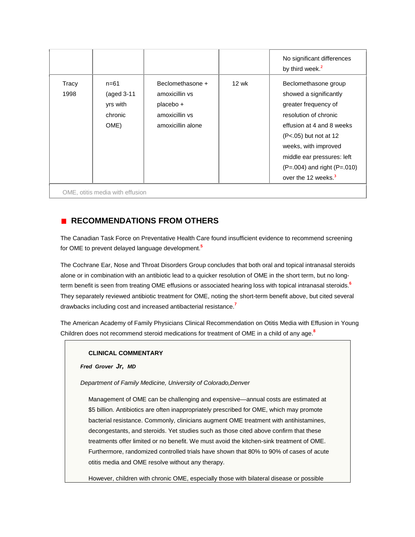|               |                                                       |                                                                                        |       | No significant differences<br>by third week. <sup>2</sup>                                                                                                                                                                                                                           |
|---------------|-------------------------------------------------------|----------------------------------------------------------------------------------------|-------|-------------------------------------------------------------------------------------------------------------------------------------------------------------------------------------------------------------------------------------------------------------------------------------|
| Tracy<br>1998 | $n = 61$<br>(aged 3-11<br>yrs with<br>chronic<br>OME) | Beclomethasone +<br>amoxicillin vs<br>placebo +<br>amoxicillin vs<br>amoxicillin alone | 12 wk | Beclomethasone group<br>showed a significantly<br>greater frequency of<br>resolution of chronic<br>effusion at 4 and 8 weeks<br>$(P<.05)$ but not at 12<br>weeks, with improved<br>middle ear pressures: left<br>$(P=.004)$ and right $(P=.010)$<br>over the 12 weeks. <sup>3</sup> |

# **RECOMMENDATIONS FROM OTHERS**

The Canadian Task Force on Preventative Health Care found insufficient evidence to recommend screening for OME to prevent delayed language developmen[t.](http://www.jfponline.com/Pages.asp?AID=1974&issue=August_2003&UID=#bib5)**<sup>5</sup>**

The Cochrane Ear, Nose and Throat Disorders Group concludes that both oral and topical intranasal steroids alone or in combination with an antibiotic lead to a quicker resolution of OME in the short term, but no longterm benefit is seen from treating OME effusions or associated hearing loss with topical intranasal steroid[s.](http://www.jfponline.com/Pages.asp?AID=1974&issue=August_2003&UID=#bib6)**<sup>6</sup>** They separately reviewed antibiotic treatment for OME, noting the short-term benefit above, but cited several drawbacks including cost and increased antibacterial resistanc[e.](http://www.jfponline.com/Pages.asp?AID=1974&issue=August_2003&UID=#bib7)**<sup>7</sup>**

The American Academy of Family Physicians Clinical Recommendation on Otitis Media with Effusion in Young Children does not recommend steroid medications for treatment of OME in a child of any ag[e.](http://www.jfponline.com/Pages.asp?AID=1974&issue=August_2003&UID=#bib8)**<sup>8</sup>**

#### **CLINICAL COMMENTARY**

*Fred Grover Jr, MD*

*Department of Family Medicine, University of Colorado,Denver*

Management of OME can be challenging and expensive—annual costs are estimated at \$5 billion. Antibiotics are often inappropriately prescribed for OME, which may promote bacterial resistance. Commonly, clinicians augment OME treatment with antihistamines, decongestants, and steroids. Yet studies such as those cited above confirm that these treatments offer limited or no benefit. We must avoid the kitchen-sink treatment of OME. Furthermore, randomized controlled trials have shown that 80% to 90% of cases of acute otitis media and OME resolve without any therapy.

However, children with chronic OME, especially those with bilateral disease or possible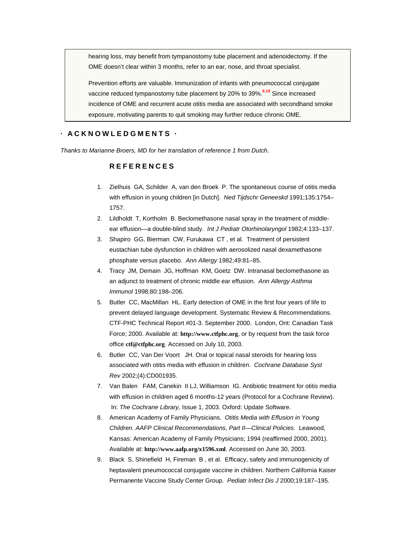hearing loss, may benefit from tympanostomy tube placement and adenoidectomy. If the OME doesn't clear within 3 months, refer to an ear, nose, and throat specialist.

Prevention efforts are valuable. Immunization of infants with pneumococcal conjugate vaccine reduced tympanostomy tube placement by 20% to 39[%.](http://www.jfponline.com/Pages.asp?AID=1974&issue=August_2003&UID=#bib9)**<sup>9</sup>**,**[10](http://www.jfponline.com/Pages.asp?AID=1974&issue=August_2003&UID=#bib10)** Since increased incidence of OME and recurrent acute otitis media are associated with secondhand smoke exposure, motivating parents to quit smoking may further reduce chronic OME.

## **· ACKNOWLEDGMENTS ·**

*Thanks to Marianne Broers, MD for her translation of reference 1 from Dutch.*

### **REFERENCES**

- 1. Zielhuis GA, Schilder A, van den Broek P. The spontaneous course of otitis media with effusion in young children [in Dutch]. *Ned Tijdschr Geneeskd* 1991;135:1754– 1757.
- 2. Lildholdt T, Kortholm B. Beclomethasone nasal spray in the treatment of middleear effusion—a double-blind study. *Int J Pediatr Otorhinolaryngol* 1982;4:133–137.
- 3. Shapiro GG, Bierman CW, Furukawa CT , et al. Treatment of persistent eustachian tube dysfunction in children with aerosolized nasal dexamethasone phosphate versus placebo. *Ann Allergy* 1982;49:81–85.
- 4. Tracy JM, Demain JG, Hoffman KM, Goetz DW. Intranasal beclomethasone as an adjunct to treatment of chronic middle ear effusion. *Ann Allergy Asthma Immunol* 1998;80:198–206.
- 5. Butler CC, MacMillan HL. Early detection of OME in the first four years of life to prevent delayed language development. Systematic Review & Recommendations. CTF-PHC Technical Report #01-3. September 2000. London, Ont: Canadian Task Force; 2000. Available at: **[http://www.ctfphc.org](http://www.ctfphc.org/)**, or by request from the task force office **[ctf@ctfphc.org](http://ctf@ctfphc.org/)**. Accessed on July 10, 2003.
- 6. Butler CC, Van Der Voort JH. Oral or topical nasal steroids for hearing loss associated with otitis media with effusion in children. *Cochrane Database Syst Rev* 2002;(4):CD001935.
- 7. Van Balen FAM, Canekin II LJ, Williamson IG. Antibiotic treatment for otitis media with effusion in children aged 6 months-12 years (Protocol for a Cochrane Review). In: *The Cochrane Library,* Issue 1, 2003. Oxford: Update Software.
- 8. American Academy of Family Physicians. *Otitis Media with Effusion in Young Children. AAFP Clinical Recommendations, Part II—Clinical Policies.* Leawood, Kansas: American Academy of Family Physicians; 1994 (reaffirmed 2000, 2001). Available at: **<http://www.aafp.org/x1596.xml>**. Accessed on June 30, 2003.
- 9. Black S, Shinefield H, Fireman B , et al. Efficacy, safety and immunogenicity of heptavalent pneumococcal conjugate vaccine in children. Northern California Kaiser Permanente Vaccine Study Center Group. *Pediatr Infect Dis J* 2000;19:187–195.